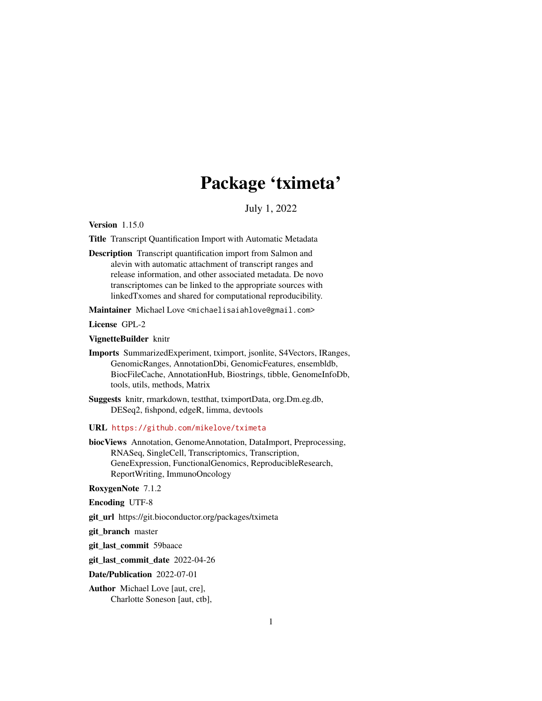## Package 'tximeta'

July 1, 2022

<span id="page-0-0"></span>Version 1.15.0

Title Transcript Quantification Import with Automatic Metadata

Description Transcript quantification import from Salmon and alevin with automatic attachment of transcript ranges and release information, and other associated metadata. De novo transcriptomes can be linked to the appropriate sources with linkedTxomes and shared for computational reproducibility.

Maintainer Michael Love <michaelisaiahlove@gmail.com>

License GPL-2

VignetteBuilder knitr

Imports SummarizedExperiment, tximport, jsonlite, S4Vectors, IRanges, GenomicRanges, AnnotationDbi, GenomicFeatures, ensembldb, BiocFileCache, AnnotationHub, Biostrings, tibble, GenomeInfoDb, tools, utils, methods, Matrix

Suggests knitr, rmarkdown, testthat, tximportData, org.Dm.eg.db, DESeq2, fishpond, edgeR, limma, devtools

URL <https://github.com/mikelove/tximeta>

biocViews Annotation, GenomeAnnotation, DataImport, Preprocessing, RNASeq, SingleCell, Transcriptomics, Transcription, GeneExpression, FunctionalGenomics, ReproducibleResearch, ReportWriting, ImmunoOncology

#### RoxygenNote 7.1.2

Encoding UTF-8

git\_url https://git.bioconductor.org/packages/tximeta

git branch master

git\_last\_commit 59baace

git\_last\_commit\_date 2022-04-26

Date/Publication 2022-07-01

Author Michael Love [aut, cre], Charlotte Soneson [aut, ctb],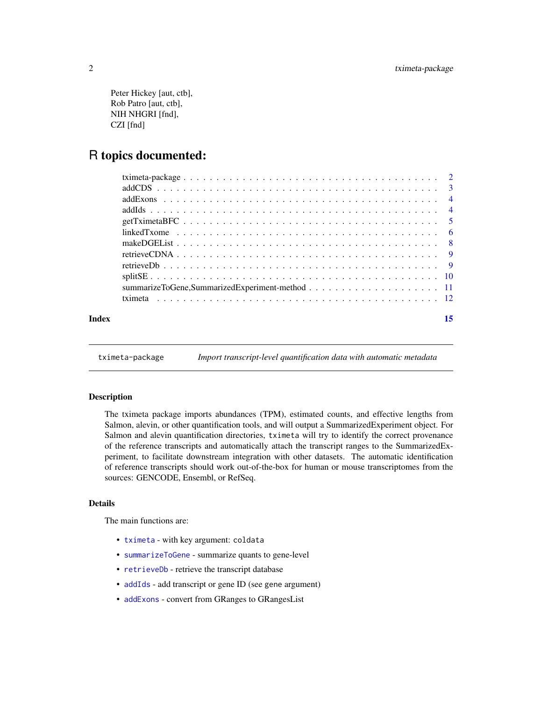```
Peter Hickey [aut, ctb],
Rob Patro [aut, ctb],
NIH NHGRI [fnd],
CZI [fnd]
```
### R topics documented:

| Index | 15 |
|-------|----|
|       |    |
|       |    |
|       |    |
|       |    |
|       |    |
|       |    |
|       |    |
|       |    |
|       |    |
|       |    |
|       |    |
|       |    |

tximeta-package *Import transcript-level quantification data with automatic metadata*

#### **Description**

The tximeta package imports abundances (TPM), estimated counts, and effective lengths from Salmon, alevin, or other quantification tools, and will output a SummarizedExperiment object. For Salmon and alevin quantification directories, tximeta will try to identify the correct provenance of the reference transcripts and automatically attach the transcript ranges to the SummarizedExperiment, to facilitate downstream integration with other datasets. The automatic identification of reference transcripts should work out-of-the-box for human or mouse transcriptomes from the sources: GENCODE, Ensembl, or RefSeq.

#### Details

The main functions are:

- [tximeta](#page-11-1) with key argument: coldata
- [summarizeToGene](#page-0-0) summarize quants to gene-level
- [retrieveDb](#page-8-1) retrieve the transcript database
- [addIds](#page-3-1) add transcript or gene ID (see gene argument)
- [addExons](#page-3-2) convert from GRanges to GRangesList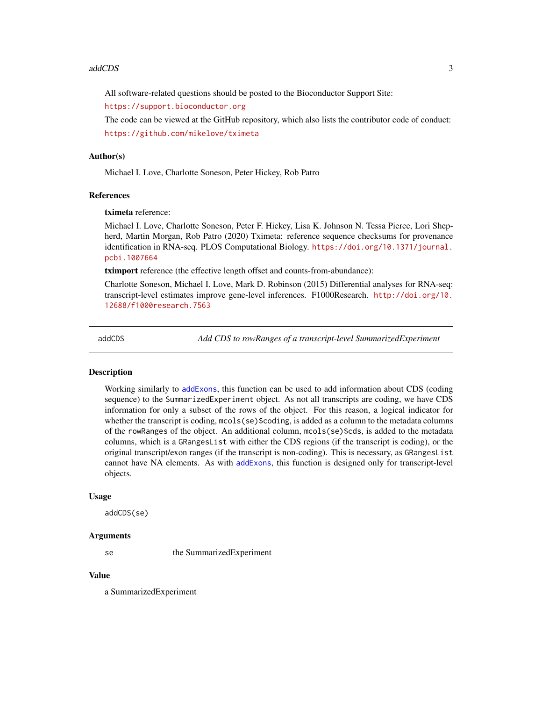<span id="page-2-0"></span>All software-related questions should be posted to the Bioconductor Support Site:

<https://support.bioconductor.org>

The code can be viewed at the GitHub repository, which also lists the contributor code of conduct: <https://github.com/mikelove/tximeta>

#### Author(s)

Michael I. Love, Charlotte Soneson, Peter Hickey, Rob Patro

#### References

tximeta reference:

Michael I. Love, Charlotte Soneson, Peter F. Hickey, Lisa K. Johnson N. Tessa Pierce, Lori Shepherd, Martin Morgan, Rob Patro (2020) Tximeta: reference sequence checksums for provenance identification in RNA-seq. PLOS Computational Biology. [https://doi.org/10.1371/journal.](https://doi.org/10.1371/journal.pcbi.1007664) [pcbi.1007664](https://doi.org/10.1371/journal.pcbi.1007664)

tximport reference (the effective length offset and counts-from-abundance):

Charlotte Soneson, Michael I. Love, Mark D. Robinson (2015) Differential analyses for RNA-seq: transcript-level estimates improve gene-level inferences. F1000Research. [http://doi.org/10.](http://doi.org/10.12688/f1000research.7563) [12688/f1000research.7563](http://doi.org/10.12688/f1000research.7563)

addCDS *Add CDS to rowRanges of a transcript-level SummarizedExperiment*

#### Description

Working similarly to [addExons](#page-3-2), this function can be used to add information about CDS (coding sequence) to the SummarizedExperiment object. As not all transcripts are coding, we have CDS information for only a subset of the rows of the object. For this reason, a logical indicator for whether the transcript is coding,  $\text{mcols}(se)$ \$coding, is added as a column to the metadata columns of the rowRanges of the object. An additional column, mcols(se)\$cds, is added to the metadata columns, which is a GRangesList with either the CDS regions (if the transcript is coding), or the original transcript/exon ranges (if the transcript is non-coding). This is necessary, as GRangesList cannot have NA elements. As with [addExons](#page-3-2), this function is designed only for transcript-level objects.

#### Usage

addCDS(se)

#### Arguments

se the SummarizedExperiment

#### Value

a SummarizedExperiment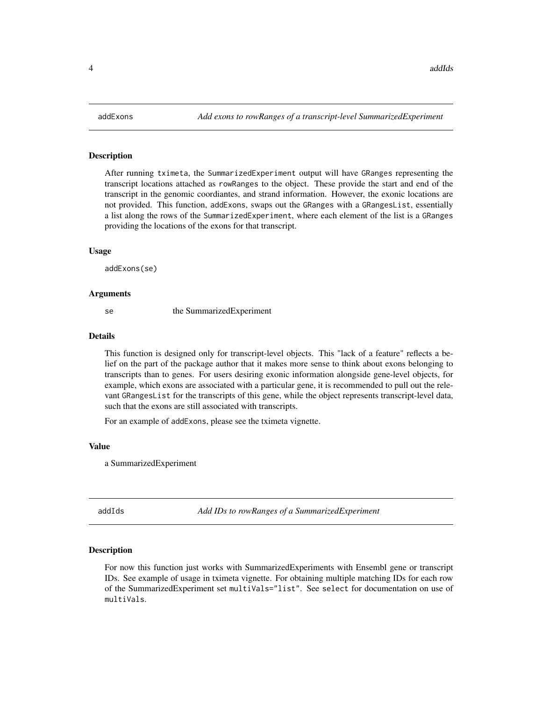#### <span id="page-3-2"></span><span id="page-3-0"></span>Description

After running tximeta, the SummarizedExperiment output will have GRanges representing the transcript locations attached as rowRanges to the object. These provide the start and end of the transcript in the genomic coordiantes, and strand information. However, the exonic locations are not provided. This function, addExons, swaps out the GRanges with a GRangesList, essentially a list along the rows of the SummarizedExperiment, where each element of the list is a GRanges providing the locations of the exons for that transcript.

#### Usage

addExons(se)

#### Arguments

se the SummarizedExperiment

#### Details

This function is designed only for transcript-level objects. This "lack of a feature" reflects a belief on the part of the package author that it makes more sense to think about exons belonging to transcripts than to genes. For users desiring exonic information alongside gene-level objects, for example, which exons are associated with a particular gene, it is recommended to pull out the relevant GRangesList for the transcripts of this gene, while the object represents transcript-level data, such that the exons are still associated with transcripts.

For an example of addExons, please see the tximeta vignette.

#### Value

a SummarizedExperiment

<span id="page-3-1"></span>addIds *Add IDs to rowRanges of a SummarizedExperiment*

#### Description

For now this function just works with SummarizedExperiments with Ensembl gene or transcript IDs. See example of usage in tximeta vignette. For obtaining multiple matching IDs for each row of the SummarizedExperiment set multiVals="list". See select for documentation on use of multiVals.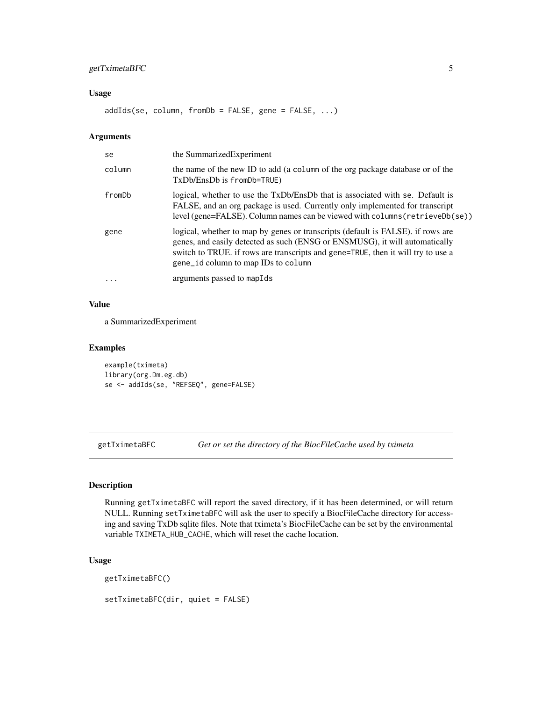### <span id="page-4-0"></span>getTximetaBFC 5

#### Usage

addIds(se, column, fromDb = FALSE, gene = FALSE, ...)

#### Arguments

| se       | the SummarizedExperiment                                                                                                                                                                                                                                                                  |
|----------|-------------------------------------------------------------------------------------------------------------------------------------------------------------------------------------------------------------------------------------------------------------------------------------------|
| column   | the name of the new ID to add (a column of the org package database or of the<br>$TxDb/EnsDb$ is $fromDb = TRUE$ )                                                                                                                                                                        |
| fromDb   | logical, whether to use the TxDb/EnsDb that is associated with se. Default is<br>FALSE, and an org package is used. Currently only implemented for transcript<br>level (gene=FALSE). Column names can be viewed with columns (retrieveDb(se))                                             |
| gene     | logical, whether to map by genes or transcripts (default is FALSE). if rows are<br>genes, and easily detected as such (ENSG or ENSMUSG), it will automatically<br>switch to TRUE. if rows are transcripts and gene=TRUE, then it will try to use a<br>gene_id column to map IDs to column |
| $\ddots$ | arguments passed to mapIds                                                                                                                                                                                                                                                                |

#### Value

a SummarizedExperiment

#### Examples

```
example(tximeta)
library(org.Dm.eg.db)
se <- addIds(se, "REFSEQ", gene=FALSE)
```
getTximetaBFC *Get or set the directory of the BiocFileCache used by tximeta*

#### <span id="page-4-1"></span>Description

Running getTximetaBFC will report the saved directory, if it has been determined, or will return NULL. Running setTximetaBFC will ask the user to specify a BiocFileCache directory for accessing and saving TxDb sqlite files. Note that tximeta's BiocFileCache can be set by the environmental variable TXIMETA\_HUB\_CACHE, which will reset the cache location.

#### Usage

getTximetaBFC()

setTximetaBFC(dir, quiet = FALSE)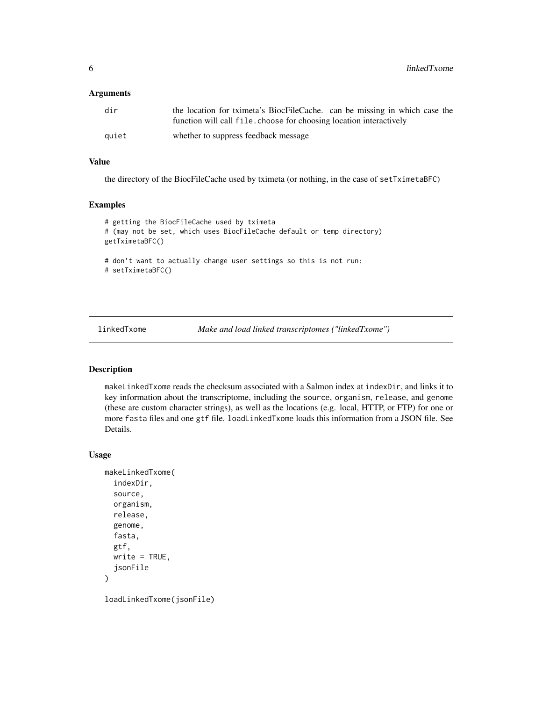<span id="page-5-0"></span>6 linkedTxome

#### **Arguments**

| dir   | the location for tximeta's BiocFileCache. can be missing in which case the |
|-------|----------------------------------------------------------------------------|
|       | function will call file, choose for choosing location interactively        |
| auiet | whether to suppress feedback message                                       |

#### Value

the directory of the BiocFileCache used by tximeta (or nothing, in the case of setTximetaBFC)

#### Examples

```
# getting the BiocFileCache used by tximeta
# (may not be set, which uses BiocFileCache default or temp directory)
getTximetaBFC()
# don't want to actually change user settings so this is not run:
# setTximetaBFC()
```
linkedTxome *Make and load linked transcriptomes ("linkedTxome")*

#### Description

makeLinkedTxome reads the checksum associated with a Salmon index at indexDir, and links it to key information about the transcriptome, including the source, organism, release, and genome (these are custom character strings), as well as the locations (e.g. local, HTTP, or FTP) for one or more fasta files and one gtf file. loadLinkedTxome loads this information from a JSON file. See Details.

#### Usage

```
makeLinkedTxome(
  indexDir,
  source,
  organism,
  release,
  genome,
  fasta,
  gtf,
 write = TRUE,jsonFile
)
```
loadLinkedTxome(jsonFile)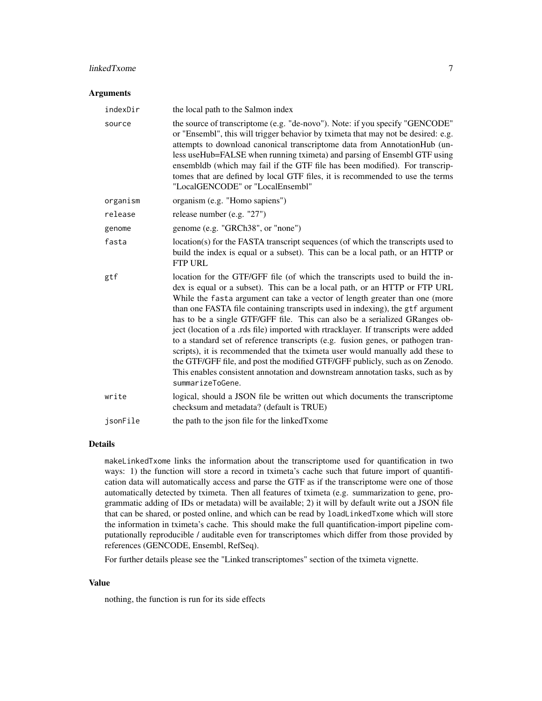#### linkedTxome 7

#### **Arguments**

| indexDir | the local path to the Salmon index                                                                                                                                                                                                                                                                                                                                                                                                                                                                                                                                                                                                                                                                                                                                                                                                                           |
|----------|--------------------------------------------------------------------------------------------------------------------------------------------------------------------------------------------------------------------------------------------------------------------------------------------------------------------------------------------------------------------------------------------------------------------------------------------------------------------------------------------------------------------------------------------------------------------------------------------------------------------------------------------------------------------------------------------------------------------------------------------------------------------------------------------------------------------------------------------------------------|
| source   | the source of transcriptome (e.g. "de-novo"). Note: if you specify "GENCODE"<br>or "Ensembl", this will trigger behavior by tximeta that may not be desired: e.g.<br>attempts to download canonical transcriptome data from AnnotationHub (un-<br>less useHub=FALSE when running tximeta) and parsing of Ensembl GTF using<br>ensembldb (which may fail if the GTF file has been modified). For transcrip-<br>tomes that are defined by local GTF files, it is recommended to use the terms<br>"LocalGENCODE" or "LocalEnsembl"                                                                                                                                                                                                                                                                                                                              |
| organism | organism (e.g. "Homo sapiens")                                                                                                                                                                                                                                                                                                                                                                                                                                                                                                                                                                                                                                                                                                                                                                                                                               |
| release  | release number (e.g. "27")                                                                                                                                                                                                                                                                                                                                                                                                                                                                                                                                                                                                                                                                                                                                                                                                                                   |
| genome   | genome (e.g. "GRCh38", or "none")                                                                                                                                                                                                                                                                                                                                                                                                                                                                                                                                                                                                                                                                                                                                                                                                                            |
| fasta    | location(s) for the FASTA transcript sequences (of which the transcripts used to<br>build the index is equal or a subset). This can be a local path, or an HTTP or<br><b>FTP URL</b>                                                                                                                                                                                                                                                                                                                                                                                                                                                                                                                                                                                                                                                                         |
| gtf      | location for the GTF/GFF file (of which the transcripts used to build the in-<br>dex is equal or a subset). This can be a local path, or an HTTP or FTP URL<br>While the fasta argument can take a vector of length greater than one (more<br>than one FASTA file containing transcripts used in indexing), the gtf argument<br>has to be a single GTF/GFF file. This can also be a serialized GRanges ob-<br>ject (location of a .rds file) imported with rtracklayer. If transcripts were added<br>to a standard set of reference transcripts (e.g. fusion genes, or pathogen tran-<br>scripts), it is recommended that the tximeta user would manually add these to<br>the GTF/GFF file, and post the modified GTF/GFF publicly, such as on Zenodo.<br>This enables consistent annotation and downstream annotation tasks, such as by<br>summarizeToGene. |
| write    | logical, should a JSON file be written out which documents the transcriptome<br>checksum and metadata? (default is TRUE)                                                                                                                                                                                                                                                                                                                                                                                                                                                                                                                                                                                                                                                                                                                                     |
| isonFile | the path to the json file for the linked Txome                                                                                                                                                                                                                                                                                                                                                                                                                                                                                                                                                                                                                                                                                                                                                                                                               |

#### Details

makeLinkedTxome links the information about the transcriptome used for quantification in two ways: 1) the function will store a record in tximeta's cache such that future import of quantification data will automatically access and parse the GTF as if the transcriptome were one of those automatically detected by tximeta. Then all features of tximeta (e.g. summarization to gene, programmatic adding of IDs or metadata) will be available; 2) it will by default write out a JSON file that can be shared, or posted online, and which can be read by loadLinkedTxome which will store the information in tximeta's cache. This should make the full quantification-import pipeline computationally reproducible / auditable even for transcriptomes which differ from those provided by references (GENCODE, Ensembl, RefSeq).

For further details please see the "Linked transcriptomes" section of the tximeta vignette.

#### Value

nothing, the function is run for its side effects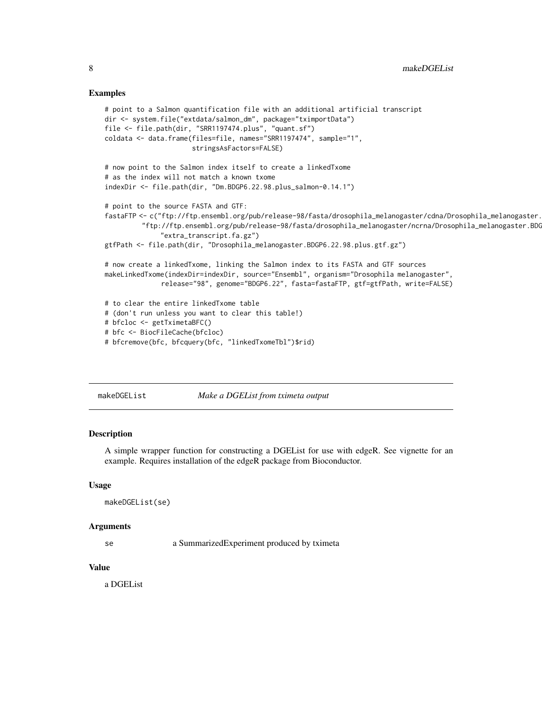#### <span id="page-7-0"></span>Examples

```
# point to a Salmon quantification file with an additional artificial transcript
dir <- system.file("extdata/salmon_dm", package="tximportData")
file <- file.path(dir, "SRR1197474.plus", "quant.sf")
coldata <- data.frame(files=file, names="SRR1197474", sample="1",
                      stringsAsFactors=FALSE)
# now point to the Salmon index itself to create a linkedTxome
# as the index will not match a known txome
indexDir <- file.path(dir, "Dm.BDGP6.22.98.plus_salmon-0.14.1")
# point to the source FASTA and GTF:
fastaFTP <- c("ftp://ftp.ensembl.org/pub/release-98/fasta/drosophila_melanogaster/cdna/Drosophila_melanogaster.
         "ftp://ftp.ensembl.org/pub/release-98/fasta/drosophila_melanogaster/ncrna/Drosophila_melanogaster.BDG
              "extra_transcript.fa.gz")
gtfPath <- file.path(dir, "Drosophila_melanogaster.BDGP6.22.98.plus.gtf.gz")
# now create a linkedTxome, linking the Salmon index to its FASTA and GTF sources
makeLinkedTxome(indexDir=indexDir, source="Ensembl", organism="Drosophila melanogaster",
              release="98", genome="BDGP6.22", fasta=fastaFTP, gtf=gtfPath, write=FALSE)
# to clear the entire linkedTxome table
# (don't run unless you want to clear this table!)
# bfcloc <- getTximetaBFC()
# bfc <- BiocFileCache(bfcloc)
# bfcremove(bfc, bfcquery(bfc, "linkedTxomeTbl")$rid)
```
makeDGEList *Make a DGEList from tximeta output*

#### **Description**

A simple wrapper function for constructing a DGEList for use with edgeR. See vignette for an example. Requires installation of the edgeR package from Bioconductor.

#### Usage

```
makeDGEList(se)
```
#### Arguments

se a SummarizedExperiment produced by tximeta

#### Value

a DGEList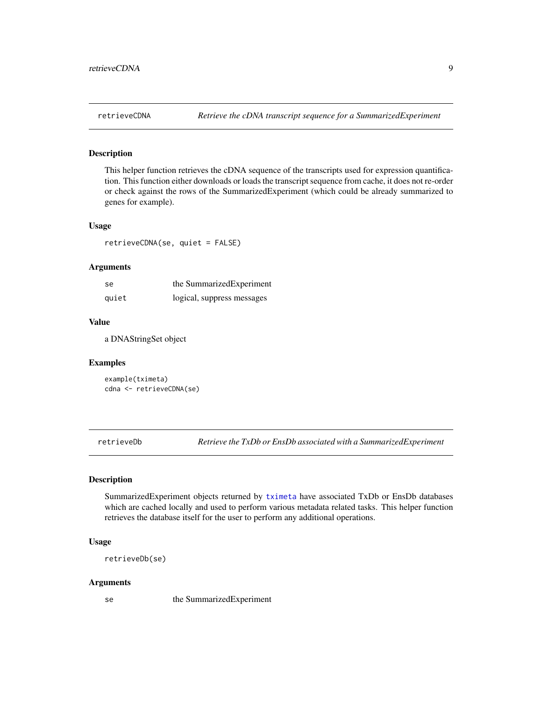<span id="page-8-0"></span>

#### Description

This helper function retrieves the cDNA sequence of the transcripts used for expression quantification. This function either downloads or loads the transcript sequence from cache, it does not re-order or check against the rows of the SummarizedExperiment (which could be already summarized to genes for example).

#### Usage

retrieveCDNA(se, quiet = FALSE)

#### Arguments

| -se   | the SummarizedExperiment   |
|-------|----------------------------|
| quiet | logical, suppress messages |

#### Value

a DNAStringSet object

#### Examples

example(tximeta) cdna <- retrieveCDNA(se)

<span id="page-8-1"></span>retrieveDb *Retrieve the TxDb or EnsDb associated with a SummarizedExperiment*

#### Description

SummarizedExperiment objects returned by [tximeta](#page-11-1) have associated TxDb or EnsDb databases which are cached locally and used to perform various metadata related tasks. This helper function retrieves the database itself for the user to perform any additional operations.

#### Usage

retrieveDb(se)

#### Arguments

se the SummarizedExperiment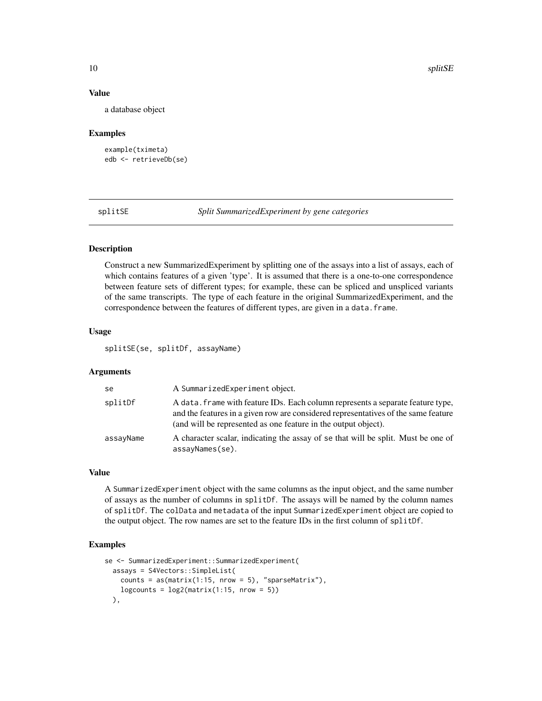#### Value

a database object

#### Examples

```
example(tximeta)
edb <- retrieveDb(se)
```
splitSE *Split SummarizedExperiment by gene categories*

### Description

Construct a new SummarizedExperiment by splitting one of the assays into a list of assays, each of which contains features of a given 'type'. It is assumed that there is a one-to-one correspondence between feature sets of different types; for example, these can be spliced and unspliced variants of the same transcripts. The type of each feature in the original SummarizedExperiment, and the correspondence between the features of different types, are given in a data.frame.

#### Usage

splitSE(se, splitDf, assayName)

#### Arguments

| se        | A SummarizedExperiment object.                                                                                                                                                                                                          |
|-----------|-----------------------------------------------------------------------------------------------------------------------------------------------------------------------------------------------------------------------------------------|
| splitDf   | A data, frame with feature IDs. Each column represents a separate feature type,<br>and the features in a given row are considered representatives of the same feature<br>(and will be represented as one feature in the output object). |
| assayName | A character scalar, indicating the assay of se that will be split. Must be one of<br>$assayNames(se)$ .                                                                                                                                 |

### Value

A SummarizedExperiment object with the same columns as the input object, and the same number of assays as the number of columns in splitDf. The assays will be named by the column names of splitDf. The colData and metadata of the input SummarizedExperiment object are copied to the output object. The row names are set to the feature IDs in the first column of splitDf.

#### Examples

```
se <- SummarizedExperiment::SummarizedExperiment(
 assays = S4Vectors::SimpleList(
   counts = as(matrix(1:15, nrow = 5), "sparseMatrix"),logcounts = log2(maxrix(1:15, nrow = 5))),
```
<span id="page-9-0"></span>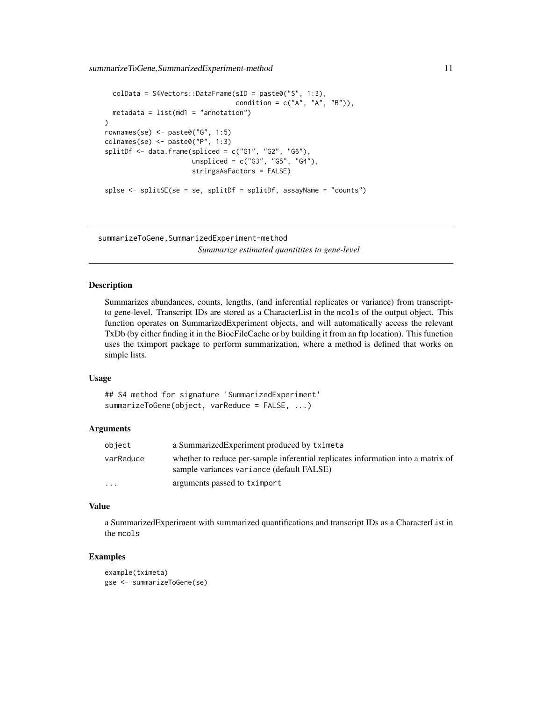<span id="page-10-0"></span>summarizeToGene,SummarizedExperiment-method 11

```
colData = S4Vectors::DataFrame(sID = paste0("S", 1:3),
                                  condition = c("A", "A", "B")),
 metadata = list(md1 = "annotation"))
rownames(se) <- paste0("G", 1:5)
colnames(se) <- paste0("P", 1:3)
splitDf \leftarrow data.frame(splied = c("G1", "G2", "G6"),unspliced = c("G3", "G5", "G4"),
                      stringsAsFactors = FALSE)
splse <- splitSE(se = se, splitDf = splitDf, assayName = "counts")
```
summarizeToGene,SummarizedExperiment-method *Summarize estimated quantitites to gene-level*

#### Description

Summarizes abundances, counts, lengths, (and inferential replicates or variance) from transcriptto gene-level. Transcript IDs are stored as a CharacterList in the mcols of the output object. This function operates on SummarizedExperiment objects, and will automatically access the relevant TxDb (by either finding it in the BiocFileCache or by building it from an ftp location). This function uses the tximport package to perform summarization, where a method is defined that works on simple lists.

#### Usage

## S4 method for signature 'SummarizedExperiment' summarizeToGene(object, varReduce = FALSE, ...)

#### Arguments

| object                  | a Summarized Experiment produced by tximeta                                                                                   |
|-------------------------|-------------------------------------------------------------------------------------------------------------------------------|
| varReduce               | whether to reduce per-sample inferential replicates information into a matrix of<br>sample variances variance (default FALSE) |
| $\cdot$ $\cdot$ $\cdot$ | arguments passed to tximport                                                                                                  |

#### Value

a SummarizedExperiment with summarized quantifications and transcript IDs as a CharacterList in the mcols

#### Examples

```
example(tximeta)
gse <- summarizeToGene(se)
```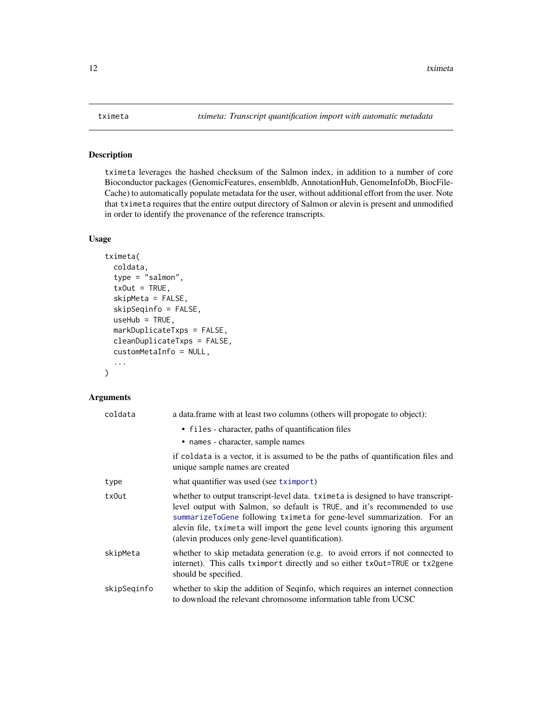### <span id="page-11-1"></span><span id="page-11-0"></span>Description

tximeta leverages the hashed checksum of the Salmon index, in addition to a number of core Bioconductor packages (GenomicFeatures, ensembldb, AnnotationHub, GenomeInfoDb, BiocFile-Cache) to automatically populate metadata for the user, without additional effort from the user. Note that tximeta requires that the entire output directory of Salmon or alevin is present and unmodified in order to identify the provenance of the reference transcripts.

#### Usage

```
tximeta(
  coldata,
  type = "salmon",
  txOut = TRUE,skipMeta = FALSE,
  skipSeqinfo = FALSE,
 useHub = TRUE,markDuplicateTxps = FALSE,
  cleanDuplicateTxps = FALSE,
  customMetaInfo = NULL,
  ...
)
```
#### Arguments

| coldata     | a data. frame with at least two columns (others will propogate to object):                                                                                                                                                                                                                                                                                                    |
|-------------|-------------------------------------------------------------------------------------------------------------------------------------------------------------------------------------------------------------------------------------------------------------------------------------------------------------------------------------------------------------------------------|
|             | • files - character, paths of quantification files<br>• names - character, sample names                                                                                                                                                                                                                                                                                       |
|             | if coldata is a vector, it is assumed to be the paths of quantification files and<br>unique sample names are created                                                                                                                                                                                                                                                          |
| type        | what quantifier was used (see tximport)                                                                                                                                                                                                                                                                                                                                       |
| txOut       | whether to output transcript-level data. tximeta is designed to have transcript-<br>level output with Salmon, so default is TRUE, and it's recommended to use<br>summarizeToGene following tximeta for gene-level summarization. For an<br>alevin file, tximeta will import the gene level counts ignoring this argument<br>(alevin produces only gene-level quantification). |
| skipMeta    | whether to skip metadata generation (e.g. to avoid errors if not connected to<br>internet). This calls tximport directly and so either tx0ut=TRUE or tx2gene<br>should be specified.                                                                                                                                                                                          |
| skipSeqinfo | whether to skip the addition of Seqinfo, which requires an internet connection<br>to download the relevant chromosome information table from UCSC                                                                                                                                                                                                                             |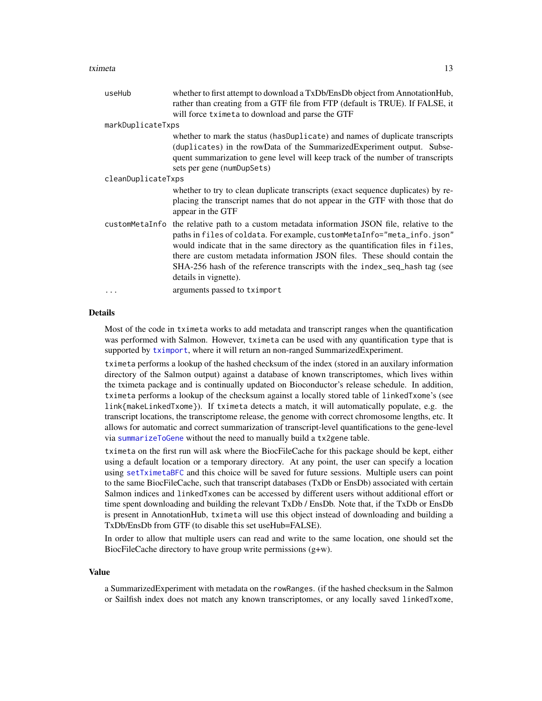#### <span id="page-12-0"></span>tximeta ta 13

| useHub             | whether to first attempt to download a TxDb/EnsDb object from AnnotationHub,<br>rather than creating from a GTF file from FTP (default is TRUE). If FALSE, it                                                                                                                                                                                                                                                                    |
|--------------------|----------------------------------------------------------------------------------------------------------------------------------------------------------------------------------------------------------------------------------------------------------------------------------------------------------------------------------------------------------------------------------------------------------------------------------|
|                    | will force tximeta to download and parse the GTF                                                                                                                                                                                                                                                                                                                                                                                 |
| markDuplicateTxps  |                                                                                                                                                                                                                                                                                                                                                                                                                                  |
|                    | whether to mark the status (has Duplicate) and names of duplicate transcripts<br>(duplicates) in the rowData of the SummarizedExperiment output. Subse-<br>quent summarization to gene level will keep track of the number of transcripts<br>sets per gene (numDupSets)                                                                                                                                                          |
| cleanDuplicateTxps |                                                                                                                                                                                                                                                                                                                                                                                                                                  |
|                    | whether to try to clean duplicate transcripts (exact sequence duplicates) by re-<br>placing the transcript names that do not appear in the GTF with those that do<br>appear in the GTF                                                                                                                                                                                                                                           |
| customMetaInfo     | the relative path to a custom metadata information JSON file, relative to the<br>paths in files of coldata. For example, customMetaInfo="meta_info.json"<br>would indicate that in the same directory as the quantification files in files,<br>there are custom metadata information JSON files. These should contain the<br>SHA-256 hash of the reference transcripts with the index_seq_hash tag (see<br>details in vignette). |
| .                  | arguments passed to tximport                                                                                                                                                                                                                                                                                                                                                                                                     |

#### Details

Most of the code in tximeta works to add metadata and transcript ranges when the quantification was performed with Salmon. However, tximeta can be used with any quantification type that is supported by [tximport](#page-0-0), where it will return an non-ranged SummarizedExperiment.

tximeta performs a lookup of the hashed checksum of the index (stored in an auxilary information directory of the Salmon output) against a database of known transcriptomes, which lives within the tximeta package and is continually updated on Bioconductor's release schedule. In addition, tximeta performs a lookup of the checksum against a locally stored table of linkedTxome's (see link{makeLinkedTxome}). If tximeta detects a match, it will automatically populate, e.g. the transcript locations, the transcriptome release, the genome with correct chromosome lengths, etc. It allows for automatic and correct summarization of transcript-level quantifications to the gene-level via [summarizeToGene](#page-0-0) without the need to manually build a tx2gene table.

tximeta on the first run will ask where the BiocFileCache for this package should be kept, either using a default location or a temporary directory. At any point, the user can specify a location using [setTximetaBFC](#page-4-1) and this choice will be saved for future sessions. Multiple users can point to the same BiocFileCache, such that transcript databases (TxDb or EnsDb) associated with certain Salmon indices and linkedTxomes can be accessed by different users without additional effort or time spent downloading and building the relevant TxDb / EnsDb. Note that, if the TxDb or EnsDb is present in AnnotationHub, tximeta will use this object instead of downloading and building a TxDb/EnsDb from GTF (to disable this set useHub=FALSE).

In order to allow that multiple users can read and write to the same location, one should set the BiocFileCache directory to have group write permissions (g+w).

#### Value

a SummarizedExperiment with metadata on the rowRanges. (if the hashed checksum in the Salmon or Sailfish index does not match any known transcriptomes, or any locally saved linkedTxome,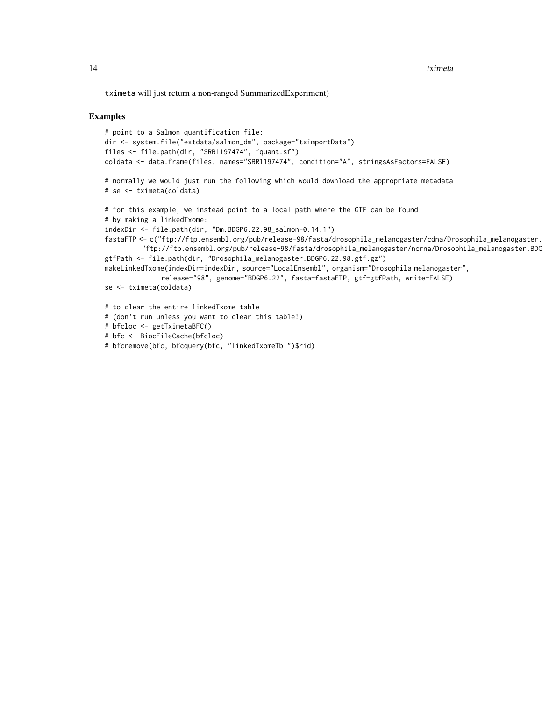tximeta will just return a non-ranged SummarizedExperiment)

#### Examples

```
# point to a Salmon quantification file:
dir <- system.file("extdata/salmon_dm", package="tximportData")
files <- file.path(dir, "SRR1197474", "quant.sf")
coldata <- data.frame(files, names="SRR1197474", condition="A", stringsAsFactors=FALSE)
# normally we would just run the following which would download the appropriate metadata
# se <- tximeta(coldata)
# for this example, we instead point to a local path where the GTF can be found
# by making a linkedTxome:
indexDir <- file.path(dir, "Dm.BDGP6.22.98_salmon-0.14.1")
fastaFTP <- c("ftp://ftp.ensembl.org/pub/release-98/fasta/drosophila_melanogaster/cdna/Drosophila_melanogaster.
         "ftp://ftp.ensembl.org/pub/release-98/fasta/drosophila_melanogaster/ncrna/Drosophila_melanogaster.BDG
gtfPath <- file.path(dir, "Drosophila_melanogaster.BDGP6.22.98.gtf.gz")
makeLinkedTxome(indexDir=indexDir, source="LocalEnsembl", organism="Drosophila melanogaster",
              release="98", genome="BDGP6.22", fasta=fastaFTP, gtf=gtfPath, write=FALSE)
se <- tximeta(coldata)
# to clear the entire linkedTxome table
# (don't run unless you want to clear this table!)
# bfcloc <- getTximetaBFC()
# bfc <- BiocFileCache(bfcloc)
# bfcremove(bfc, bfcquery(bfc, "linkedTxomeTbl")$rid)
```